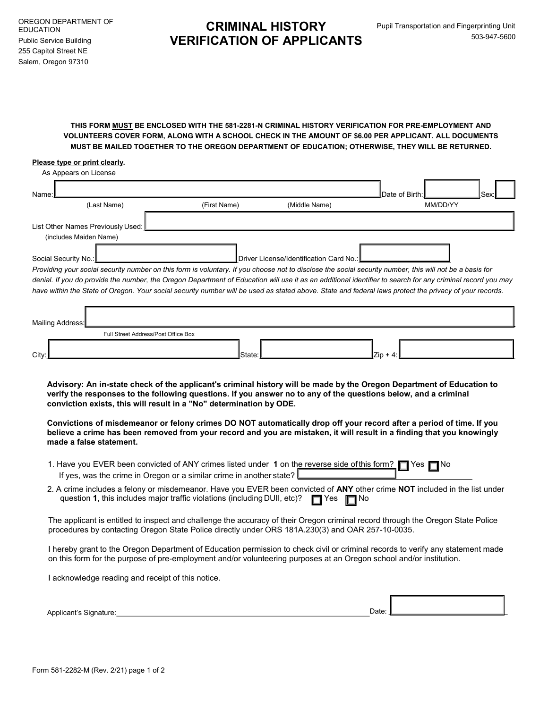## CRIMINAL HISTORY VERIFICATION OF APPLICANTS

## THIS FORM MUST BE ENCLOSED WITH THE 581-2281-N CRIMINAL HISTORY VERIFICATION FOR PRE-EMPLOYMENT AND VOLUNTEERS COVER FORM, ALONG WITH A SCHOOL CHECK IN THE AMOUNT OF \$**6**.00 PER APPLICANT. ALL DOCUMENTS MUST BE MAILED TOGETHER TO THE OREGON DEPARTMENT OF EDUCATION; OTHERWISE, THEY WILL BE RETURNED.

## Please type or print clearly.

| As Appears on License                                                                                                                                      |  |              |               |                |      |
|------------------------------------------------------------------------------------------------------------------------------------------------------------|--|--------------|---------------|----------------|------|
| Name:I                                                                                                                                                     |  |              |               | Date of Birth: | Sex: |
| (Last Name)                                                                                                                                                |  | (First Name) | (Middle Name) | MM/DD/YY       |      |
| List Other Names Previously Used:<br>(includes Maiden Name)                                                                                                |  |              |               |                |      |
| ┃Driver License/Identification Card No.:┃<br>Social Security No.:                                                                                          |  |              |               |                |      |
| Providing your social security number on this form is voluntary. If you choose not to disclose the social security number, this will not be a basis for    |  |              |               |                |      |
| denial. If you do provide the number, the Oregon Department of Education will use it as an additional identifier to search for any criminal record you may |  |              |               |                |      |

| Mailing Address: |                                     |                 |             |  |
|------------------|-------------------------------------|-----------------|-------------|--|
|                  | Full Street Address/Post Office Box |                 |             |  |
| City:            |                                     | <b>I</b> State: | $ Zip + 4 $ |  |

have within the State of Oregon. Your social security number will be used as stated above. State and federal laws protect the privacy of your records.

Advisory: An in-state check of the applicant's criminal history will be made by the Oregon Department of Education to verify the responses to the following questions. If you answer no to any of the questions below, and a criminal conviction exists, this will result in a "No" determination by ODE.

Convictions of misdemeanor or felony crimes DO NOT automatically drop off your record after a period of time. If you believe a crime has been removed from your record and you are mistaken, it will result in a finding that you knowingly made a false statement.

| 1. Have you EVER been convicted of ANY crimes listed under 1 on the reverse side of this form? T Yes T No |  |
|-----------------------------------------------------------------------------------------------------------|--|
| If yes, was the crime in Oregon or a similar crime in another state? $L$                                  |  |

question 1, this includes major traffic violations (including DUII, etc)? Thes The No 2. A crime includes a felony or misdemeanor. Have you EVER been convicted of ANY other crime NOT included in the list under

The applicant is entitled to inspect and challenge the accuracy of their Oregon criminal record through the Oregon State Police procedures by contacting Oregon State Police directly under ORS 181A.230(3) and OAR 257-10-0035.

I hereby grant to the Oregon Department of Education permission to check civil or criminal records to verify any statement made on this form for the purpose of pre-employment and/or volunteering purposes at an Oregon school and/or institution.

I acknowledge reading and receipt of this notice.

| Applicant's<br>Signature: | $\overline{\phantom{a}}$<br>Date: |  |
|---------------------------|-----------------------------------|--|
|                           |                                   |  |